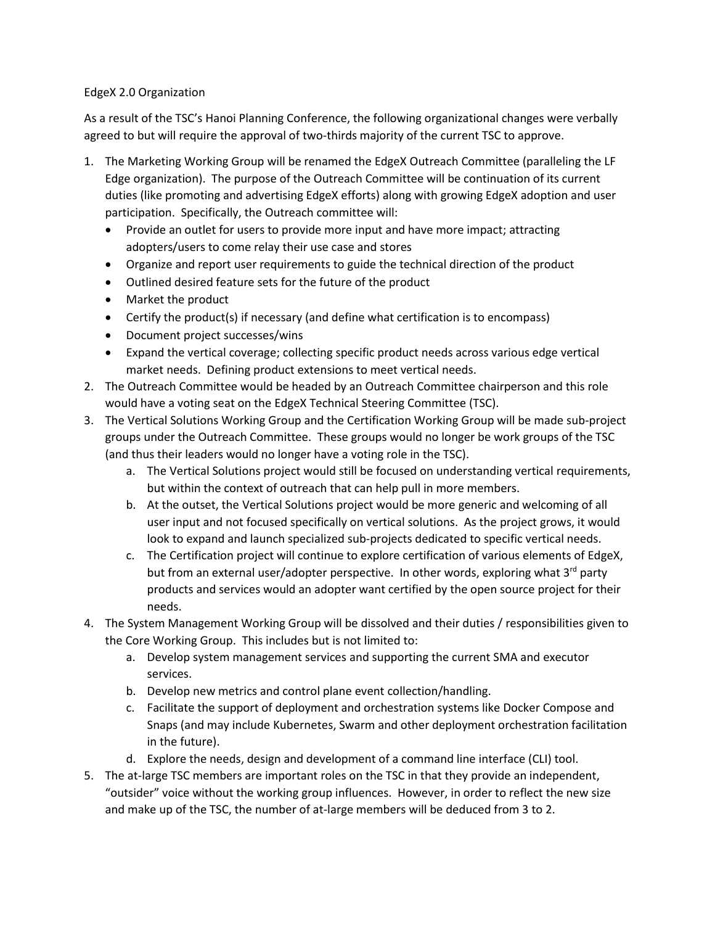## EdgeX 2.0 Organization

As a result of the TSC's Hanoi Planning Conference, the following organizational changes were verbally agreed to but will require the approval of two-thirds majority of the current TSC to approve.

- 1. The Marketing Working Group will be renamed the EdgeX Outreach Committee (paralleling the LF Edge organization). The purpose of the Outreach Committee will be continuation of its current duties (like promoting and advertising EdgeX efforts) along with growing EdgeX adoption and user participation. Specifically, the Outreach committee will:
	- Provide an outlet for users to provide more input and have more impact; attracting adopters/users to come relay their use case and stores
	- Organize and report user requirements to guide the technical direction of the product
	- Outlined desired feature sets for the future of the product
	- Market the product
	- Certify the product(s) if necessary (and define what certification is to encompass)
	- Document project successes/wins
	- Expand the vertical coverage; collecting specific product needs across various edge vertical market needs. Defining product extensions to meet vertical needs.
- 2. The Outreach Committee would be headed by an Outreach Committee chairperson and this role would have a voting seat on the EdgeX Technical Steering Committee (TSC).
- 3. The Vertical Solutions Working Group and the Certification Working Group will be made sub-project groups under the Outreach Committee. These groups would no longer be work groups of the TSC (and thus their leaders would no longer have a voting role in the TSC).
	- a. The Vertical Solutions project would still be focused on understanding vertical requirements, but within the context of outreach that can help pull in more members.
	- b. At the outset, the Vertical Solutions project would be more generic and welcoming of all user input and not focused specifically on vertical solutions. As the project grows, it would look to expand and launch specialized sub-projects dedicated to specific vertical needs.
	- c. The Certification project will continue to explore certification of various elements of EdgeX, but from an external user/adopter perspective. In other words, exploring what 3<sup>rd</sup> party products and services would an adopter want certified by the open source project for their needs.
- 4. The System Management Working Group will be dissolved and their duties / responsibilities given to the Core Working Group. This includes but is not limited to:
	- a. Develop system management services and supporting the current SMA and executor services.
	- b. Develop new metrics and control plane event collection/handling.
	- c. Facilitate the support of deployment and orchestration systems like Docker Compose and Snaps (and may include Kubernetes, Swarm and other deployment orchestration facilitation in the future).
	- d. Explore the needs, design and development of a command line interface (CLI) tool.
- 5. The at-large TSC members are important roles on the TSC in that they provide an independent, "outsider" voice without the working group influences. However, in order to reflect the new size and make up of the TSC, the number of at-large members will be deduced from 3 to 2.